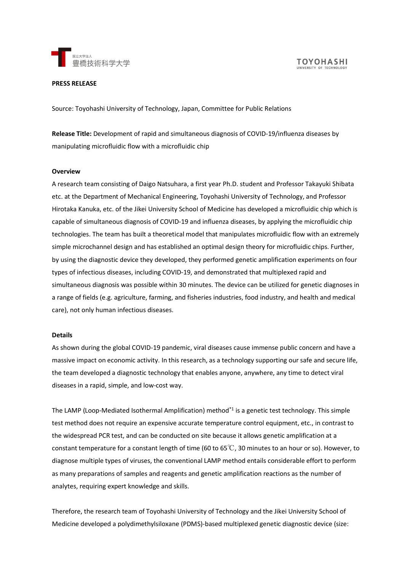

**TOYOHASHI** UNIVERSITY OF TECHNOL

#### **PRESS RELEASE**

Source: Toyohashi University of Technology, Japan, Committee for Public Relations

**Release Title:** Development of rapid and simultaneous diagnosis of COVID-19/influenza diseases by manipulating microfluidic flow with a microfluidic chip

#### **Overview**

A research team consisting of Daigo Natsuhara, a first year Ph.D. student and Professor Takayuki Shibata etc. at the Department of Mechanical Engineering, Toyohashi University of Technology, and Professor Hirotaka Kanuka, etc. of the Jikei University School of Medicine has developed a microfluidic chip which is capable of simultaneous diagnosis of COVID-19 and influenza diseases, by applying the microfluidic chip technologies. The team has built a theoretical model that manipulates microfluidic flow with an extremely simple microchannel design and has established an optimal design theory for microfluidic chips. Further, by using the diagnostic device they developed, they performed genetic amplification experiments on four types of infectious diseases, including COVID-19, and demonstrated that multiplexed rapid and simultaneous diagnosis was possible within 30 minutes. The device can be utilized for genetic diagnoses in a range of fields (e.g. agriculture, farming, and fisheries industries, food industry, and health and medical care), not only human infectious diseases.

#### **Details**

As shown during the global COVID-19 pandemic, viral diseases cause immense public concern and have a massive impact on economic activity. In this research, as a technology supporting our safe and secure life, the team developed a diagnostic technology that enables anyone, anywhere, any time to detect viral diseases in a rapid, simple, and low-cost way.

The LAMP (Loop-Mediated Isothermal Amplification) method\*<sup>1</sup> is a genetic test technology. This simple test method does not require an expensive accurate temperature control equipment, etc., in contrast to the widespread PCR test, and can be conducted on site because it allows genetic amplification at a constant temperature for a constant length of time (60 to 65℃, 30 minutes to an hour or so). However, to diagnose multiple types of viruses, the conventional LAMP method entails considerable effort to perform as many preparations of samples and reagents and genetic amplification reactions as the number of analytes, requiring expert knowledge and skills.

Therefore, the research team of Toyohashi University of Technology and the Jikei University School of Medicine developed a polydimethylsiloxane (PDMS)-based multiplexed genetic diagnostic device (size: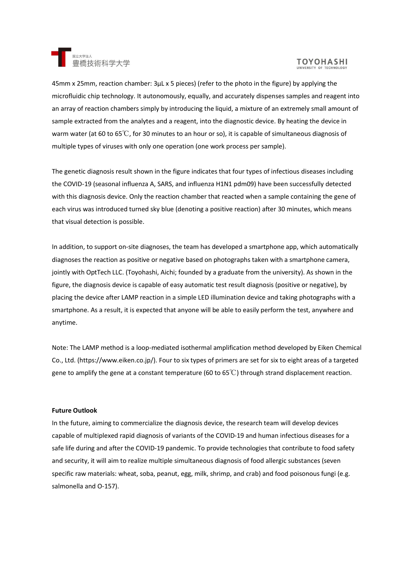

# **TOYOHASHI**

45mm x 25mm, reaction chamber: 3µL x 5 pieces) (refer to the photo in the figure) by applying the microfluidic chip technology. It autonomously, equally, and accurately dispenses samples and reagent into an array of reaction chambers simply by introducing the liquid, a mixture of an extremely small amount of sample extracted from the analytes and a reagent, into the diagnostic device. By heating the device in warm water (at 60 to 65℃, for 30 minutes to an hour or so), it is capable of simultaneous diagnosis of multiple types of viruses with only one operation (one work process per sample).

The genetic diagnosis result shown in the figure indicates that four types of infectious diseases including the COVID-19 (seasonal influenza A, SARS, and influenza H1N1 pdm09) have been successfully detected with this diagnosis device. Only the reaction chamber that reacted when a sample containing the gene of each virus was introduced turned sky blue (denoting a positive reaction) after 30 minutes, which means that visual detection is possible.

In addition, to support on-site diagnoses, the team has developed a smartphone app, which automatically diagnoses the reaction as positive or negative based on photographs taken with a smartphone camera, jointly with OptTech LLC. (Toyohashi, Aichi; founded by a graduate from the university). As shown in the figure, the diagnosis device is capable of easy automatic test result diagnosis (positive or negative), by placing the device after LAMP reaction in a simple LED illumination device and taking photographs with a smartphone. As a result, it is expected that anyone will be able to easily perform the test, anywhere and anytime.

Note: The LAMP method is a loop-mediated isothermal amplification method developed by Eiken Chemical Co., Ltd. (https://www.eiken.co.jp/). Four to six types of primers are set for six to eight areas of a targeted gene to amplify the gene at a constant temperature (60 to 65°C) through strand displacement reaction.

#### **Future Outlook**

In the future, aiming to commercialize the diagnosis device, the research team will develop devices capable of multiplexed rapid diagnosis of variants of the COVID-19 and human infectious diseases for a safe life during and after the COVID-19 pandemic. To provide technologies that contribute to food safety and security, it will aim to realize multiple simultaneous diagnosis of food allergic substances (seven specific raw materials: wheat, soba, peanut, egg, milk, shrimp, and crab) and food poisonous fungi (e.g. salmonella and O-157).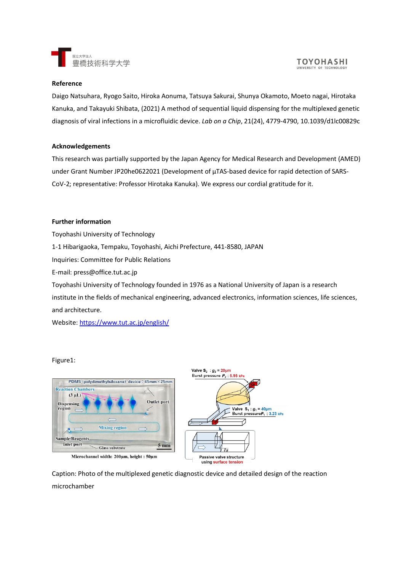

#### **TOYOHASHI** UNIVERSITY OF TECHNOLOG

# **Reference**

Daigo Natsuhara, Ryogo Saito, Hiroka Aonuma, Tatsuya Sakurai, Shunya Okamoto, Moeto nagai, Hirotaka Kanuka, and Takayuki Shibata, (2021) A method of sequential liquid dispensing for the multiplexed genetic diagnosis of viral infections in a microfluidic device. *Lab on a Chip*, 21(24), 4779-4790, 10.1039/d1lc00829c

# **Acknowledgements**

This research was partially supported by the Japan Agency for Medical Research and Development (AMED) under Grant Number JP20he0622021 (Development of µTAS-based device for rapid detection of SARS-CoV-2; representative: Professor Hirotaka Kanuka). We express our cordial gratitude for it.

# **Further information**

Toyohashi University of Technology 1-1 Hibarigaoka, Tempaku, Toyohashi, Aichi Prefecture, 441-8580, JAPAN Inquiries: Committee for Public Relations E-mail: press@office.tut.ac.jp Toyohashi University of Technology founded in 1976 as a National University of Japan is a research institute in the fields of mechanical engineering, advanced electronics, information sciences, life sciences, and architecture.

Website:<https://www.tut.ac.jp/english/>

# Figure1:





Caption: Photo of the multiplexed genetic diagnostic device and detailed design of the reaction microchamber